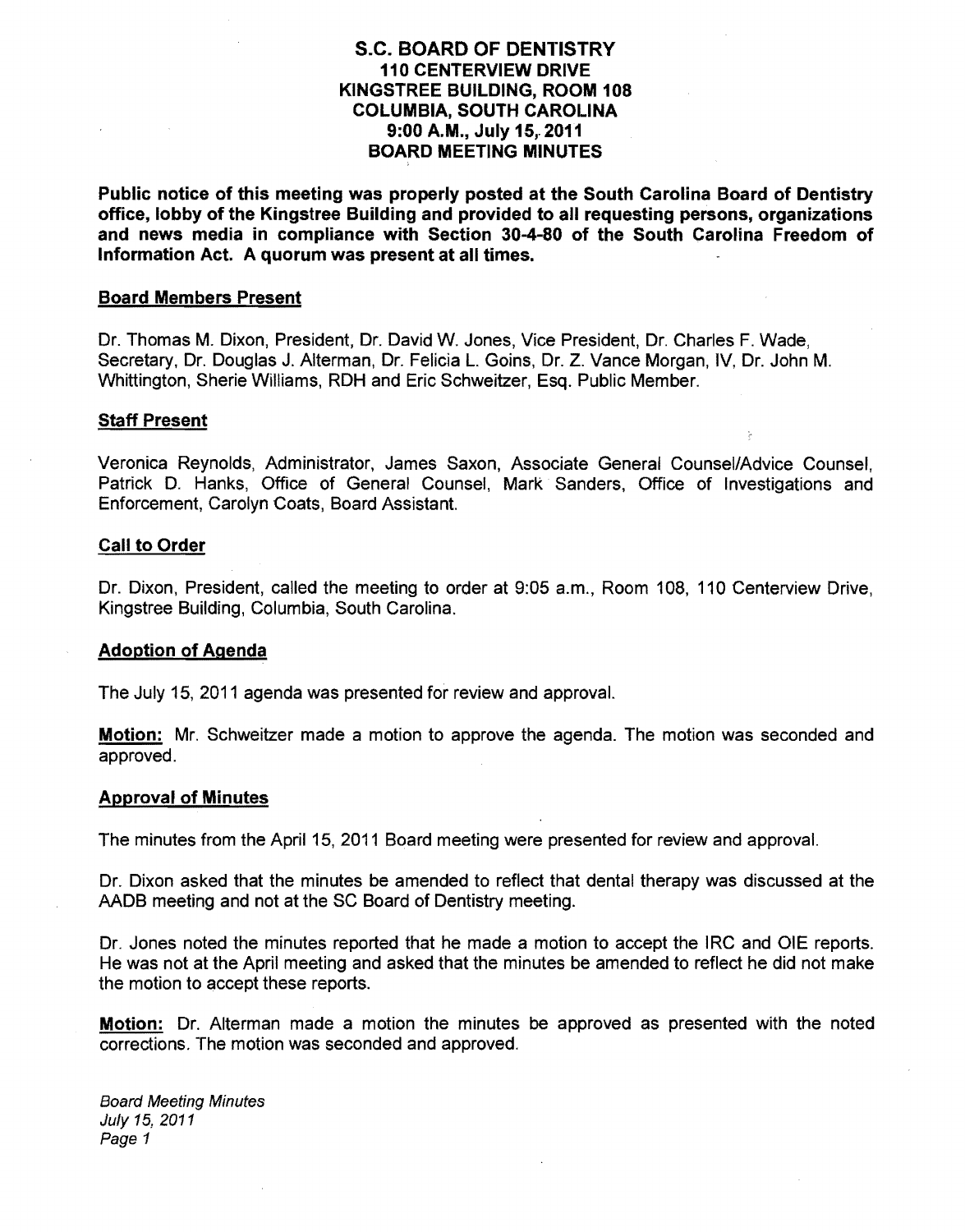# S.C. BOARD OF DENTISTRY 110 CENTERVIEW DRIVE KINGSTREE BUILDING, ROOM 108 COLUMBIA, SOUTH CAROLINA 9:00 A.M., July 15,.2011 BOARD MEETING MINUTES

Public notice of this meeting was properly posted at the South Carolina Board of Dentistry office, lobby of the Kingstree Building and provided to all requesting persons, organizations and news media in compliance with Section 30-4-80 of the South Carolina Freedom of Information Act. A quorum was present at all times.

#### Board Members Present

Dr. Thomas M. Dixon, President, Dr. David W. Jones, Vice President, Dr. Charles F. Wade, Secretary, Dr. Douglas J. Alterman, Dr. Felicia L. Goins, Dr. Z. Vance Morgan, IV, Dr. John M. Whittington, Sherie Williams, RDH and Eric Schweitzer, Esq. Public Member.

#### Staff Present

Veronica Reynolds, Administrator, James Saxon, Associate General Counsel/Advice Counsel, Patrick D. Hanks, Office of General Counsel, Mark Sanders, Office of Investigations and Enforcement, Carolyn Coats, Board Assistant.

#### Call to Order

Dr. Dixon, President, called the meeting to order at 9:05 a.m., Room 108, 110 Centerview Drive, Kingstree Building, Columbia, South Carolina.

#### Adoption of Agenda

The July 15, 2011 agenda was presented for review and approval.

Motion: Mr. Schweitzer made a motion to approve the agenda. The motion was seconded and approved.

#### Approval of Minutes

The minutes from the April 15, 2011 Board meeting were presented for review and approval.

Dr. Dixon asked that the minutes be amended to reflect that dental therapy was discussed at the AADB meeting and not at the SC Board of Dentistry meeting.

Dr. Jones noted the minutes reported that he made a motion to accept the IRC and OlE reports. He was not at the April meeting and asked that the minutes be amended to reflect he did not make the motion to accept these reports.

Motion: Dr. Alterman made a motion the minutes be approved as presented with the noted corrections. The motion was seconded and approved.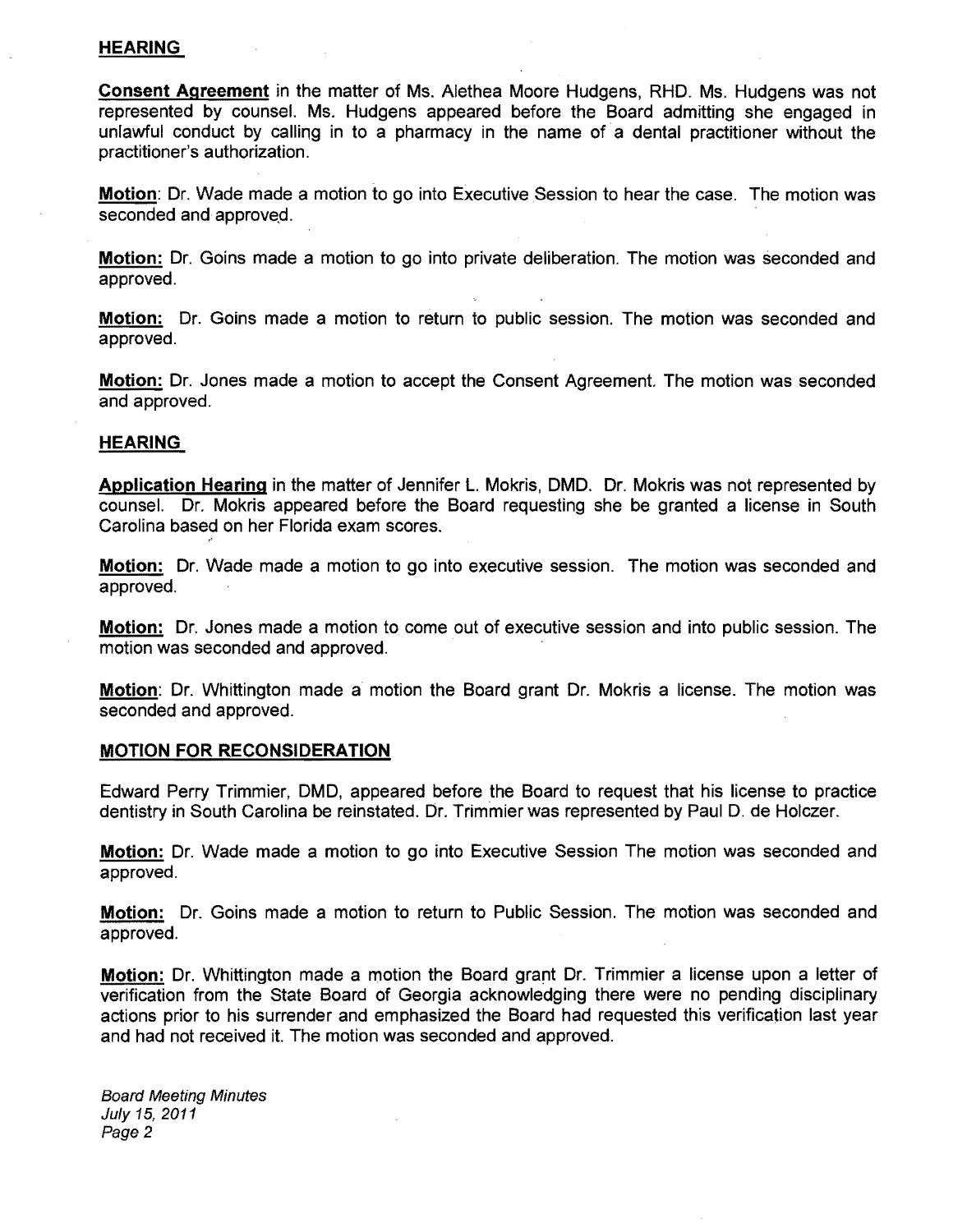## HEARING

Consent Agreement in the matter of Ms. Alethea Moore Hudgens, RHO. Ms. Hudgens was not represented by counsel. Ms. Hudgens appeared before the Board admitting she engaged in unlawful conduct by calling in to a pharmacy in the name of a dental practitioner without the practitioner's authorization.

Motion: Dr. Wade made a motion to go into Executive Session to hear the case. The motion was seconded and approved.

Motion: Dr. Goins made a motion to go into private deliberation. The motion was seconded and approved.

Motion: Dr. Goins made a motion to return to public session. The motion was seconded and approved.

Motion: Dr. Jones made a motion to accept the Consent Agreement. The motion was seconded and approved.

## HEARING

Application Hearing in the matter of Jennifer L. Mokris, DMD. Dr. Mokris was not represented by counsel. Dr. Mokris appeared before the Board requesting she be granted a license in South Carolina based on her Florida exam scores.

Motion: Dr. Wade made a motion to go into executive session. The motion was seconded and approved.

Motion: Dr. Jones made a motion to come out of executive session and into public session. The motion was seconded and approved.

Motion: Dr. Whittington made a motion the Board grant Dr. Mokris a license. The motion was seconded and approved.

## MOTION FOR RECONSIDERATION

Edward Perry Trimmier, DMD, appeared before the Board to request that his license to practice dentistry in South Carolina be reinstated. Dr. Trimmier was represented by Paul D. de Holczer.

Motion: Dr. Wade made a motion to go into Executive Session The motion was seconded and approved.

Motion: Dr. Goins made a motion to return to Public Session. The motion was seconded and approved.

Motion: Dr. Whittington made a motion the Board grant Dr. Trimmier a license upon a letter of verification from the State Board of Georgia acknowledging there were no pending disciplinary actions prior to his surrender and emphasized the Board had requested this verification last year and had not received it. The motion was seconded and approved.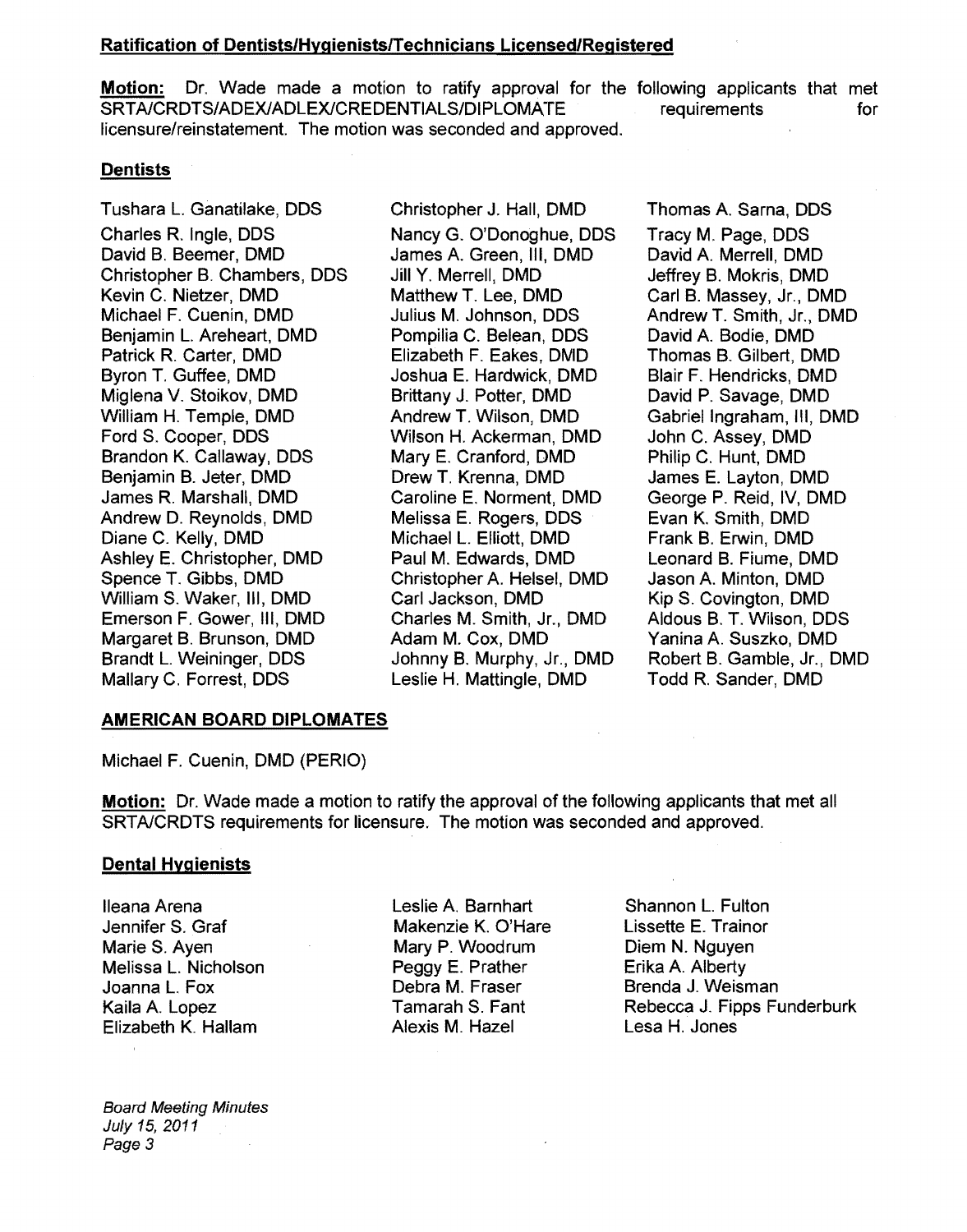## Ratification of Dentists/HvgienistslTechnicians Licensed/Registered

Motion: Dr. Wade made a motion to ratify approval for the following applicants that met SRTA/CRDTS/ADEX/ADLEX/CREDENTIALS/DIPLOMATE licensure/reinstatement. The motion was seconded and approved. requirements for

## **Dentists**

Tushara L. Ganatilake, DDS Charles R. Ingle, DDS David B. Beemer, DMD Christopher B. Chambers, DDS Kevin C. Nietzer, DMD Michael F. Cuenin, DMD Benjamin L. Areheart, DMD Patrick R. Carter, DMD Byron T. Guffee, DMD Miglena V. Stoikov, DMD William H. Temple, DMD Ford S. Cooper, DDS Brandon K. Callaway, DDS Benjamin B. Jeter, DMD James R. Marshall, DMD Andrew D. Reynolds, DMD Diane C. Kelly, DMD Ashley E. Christopher, DMD Spence T. Gibbs, DMD William S. Waker, III, DMD Emerson F. Gower, III, DMD Margaret B. Brunson, DMD Brandt L. Weininger, DDS Mallary C. Forrest, DDS

Christopher J. Hall, DMD Nancy G. O'Donoghue, DDS James A. Green, III, DMD Jill Y. Merrell, DMD Matthew T. Lee, DMD Julius M. Johnson, DDS Pompilia C. Belean, DDS Elizabeth F. Eakes, DMD Joshua E. Hardwick, DMD Brittany J. Potter, DMD Andrew T. Wilson, DMD Wilson H. Ackerman, DMD Mary E. Cranford, DMD Drew T. Krenna, DMD Caroline E. Norment, DMD Melissa E. Rogers, DDS Michael L. Elliott, DMD Paul M. Edwards, DMD Christopher A. Helsel, DMD Carl Jackson, DMD Charles M. Smith, Jr., DMD Adam M. Cox, DMD Johnny B. Murphy, Jr., DMD Leslie H. Mattingle, DMD

Thomas A. Sarna, DDS Tracy M. Page, DDS David A. Merrell, DMD Jeffrey B. Mokris, DMD Carl B. Massey, Jr., DMD Andrew T. Smith, Jr., DMD David A. Bodie, DMD Thomas B. Gilbert, DMD Blair F. Hendricks, DMD David P. Savage, DMD Gabriel Ingraham, III, DMD John C. Assey, DMD Philip C. Hunt, DMD James E. Layton, DMD George P. Reid, IV, DMD Evan K. Smith, DMD Frank B. Erwin, DMD Leonard B. Fiume, DMD Jason A. Minton, DMD Kip S. Covington, DMD Aldous B. T. Wilson, DDS Yanina A. Suszko, DMD Robert B. Gamble, Jr., DMD Todd R. Sander, DMD

### AMERICAN BOARD DIPLOMATES

Michael F. Cuenin, DMD (PERIO)

Motion: Dr. Wade made a motion to ratify the approval of the following applicants that met all SRTAlCRDTS requirements for licensure. The motion was seconded and approved.

### Dental Hygienists

Ileana Arena Jennifer S. Graf Marie S. Ayen Melissa L. Nicholson Joanna L. Fox Kaila A. Lopez Elizabeth K. Hallam

Board Meeting Minutes July 15, 2011 Page 3

Leslie A. Barnhart Makenzie K. O'Hare Mary P. Woodrum Peggy E. Prather Debra M. Fraser Tamarah S. Fant Alexis M. Hazel

Shannon L. Fulton Lissette E. Trainor Diem N. Nguyen Erika A. Alberty Brenda J. Weisman Rebecca J. Fipps Funderburk Lesa H. Jones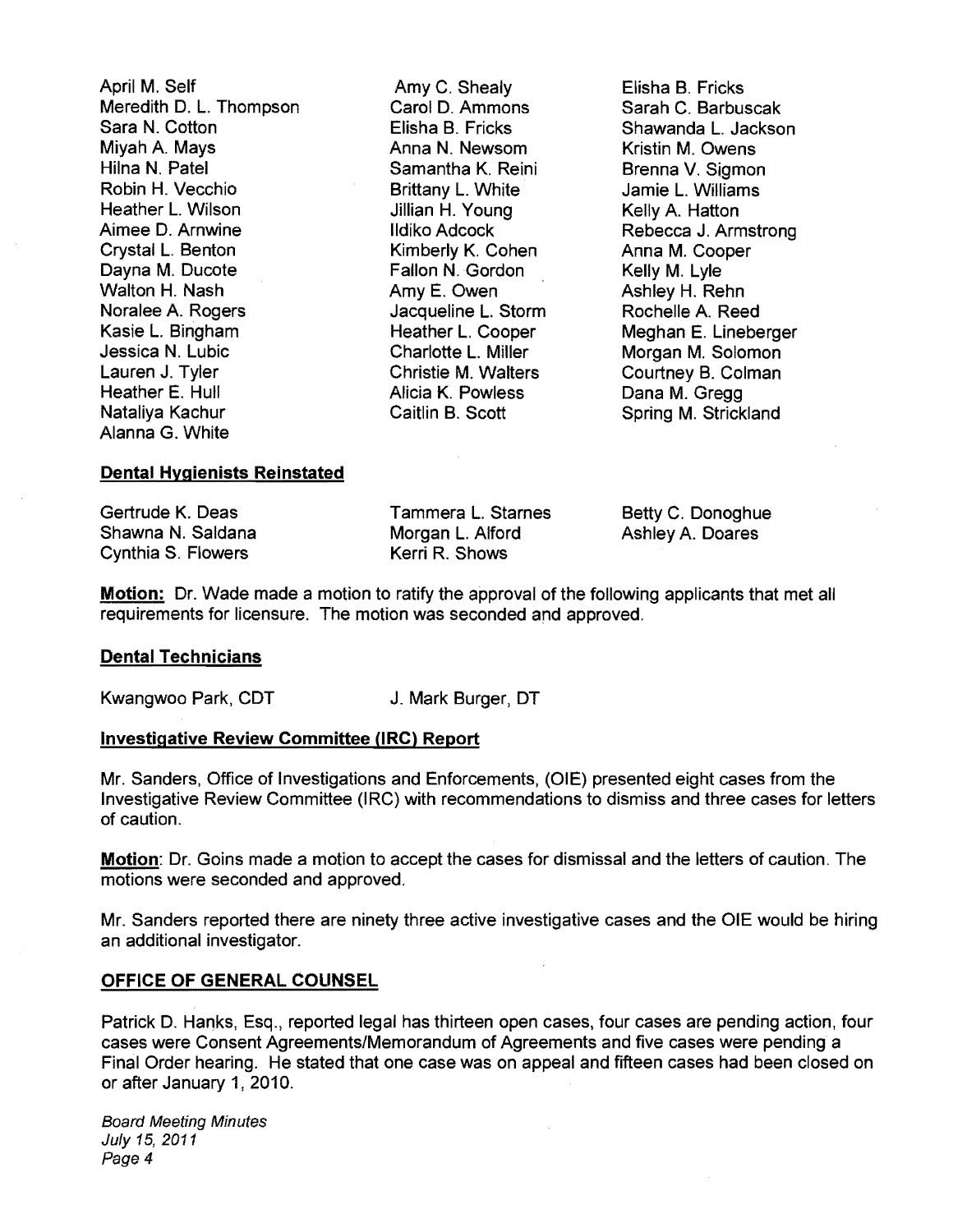April M. Self Amy C. Shealy Elisha B. Fricks Meredith D. L. Thompson Carol D. Ammor<br>
Sara N. Cotton C. Barbuscake Clisha B. Fricks Sara N. Cotton Elisha B. Fricks Shawanda L. Jackson Miyah A. Mays Anna N. Newsom Kristin M. Owens Hilna N. Patel Samantha K. Reini Brenna V. Sigmon Robin H. Vecchio Brittany L. White Jamie L. Williams Heather L. Wilson **Jillian H. Young** Kelly A. Hatton Kelly A. Hatton **Aimee D. Armyine** Aimee D. Arnwine IIdiko Adcock Rebecca J. Armstrong Crystal L. Benton **Crystal L. Benton Computer Computer** Kimberly K. Cohen Anna M. Cooper<br>
Davna M. Ducote **Computer Computer Computer Computer Computer Computer Computer Computer Computer Computer Compu** Dayna M. Ducote Fallon N. Gordon (Pallon N. Gordon Kelly M. Robert M. Lylen) M. Lylen<br>
Malton H. Nash (Pallon M. Amy E. Owen Walton H. Nash **Amy E. Owen** Ashley H. Rehn<br>Noralee A. Rogers **Amy E. Owen** Ashley H. Reed Noralee A. Rogers Jacqueline L. Storm Rochelle A. Reed Kasie L. Bingham Heather L. Cooper Meghan E. Lineberger Jessica N. Lubic Charlotte L. Miller Morgan M. Solomon Lauren J. Tyler Christie M. Walters Courtney B. Colman Heather E. Hull **Alicia K. Powless**<br>Nataliva Kachur **A. Gregge Caitlin B. Scott** Alanna G. White

Spring M. Strickland

## **Dental Hygienists Reinstated**

| Gertrude K. Deas   | Tammera L. Starnes | Betty C. Donoghue |
|--------------------|--------------------|-------------------|
| Shawna N. Saldana  | Morgan L. Alford   | Ashley A. Doares  |
| Cynthia S. Flowers | Kerri R. Shows     |                   |

Motion: Dr. Wade made a motion to ratify the approval of the following applicants that met all requirements for licensure. The motion was seconded and approved.

### **Dental** Technicians

Kwangwoo Park, CDT J. Mark Burger, DT

# **Investigative Review Committee (lRC) Report**

Mr. Sanders, Office of Investigations and Enforcements, (OlE) presented eight cases from the Investigative Review Committee (IRC) with recommendations to dismiss and three cases for letters of caution.

Motion: Dr. Goins made a motion to accept the cases for dismissal and the letters of caution. The motions were seconded and approved.

Mr. Sanders reported there are ninety three active investigative cases and the OlE would be hiring an additional investigator.

## OFFICE **OF GENERAL COUNSEL**

Patrick D. Hanks, Esq., reported legal has thirteen open cases, four cases are pending action, four cases were Consent Agreements/Memorandum of Agreements and five cases were pending a Final Order hearing. He stated that one case was on appeal and fifteen cases had been closed on or after January 1, 2010.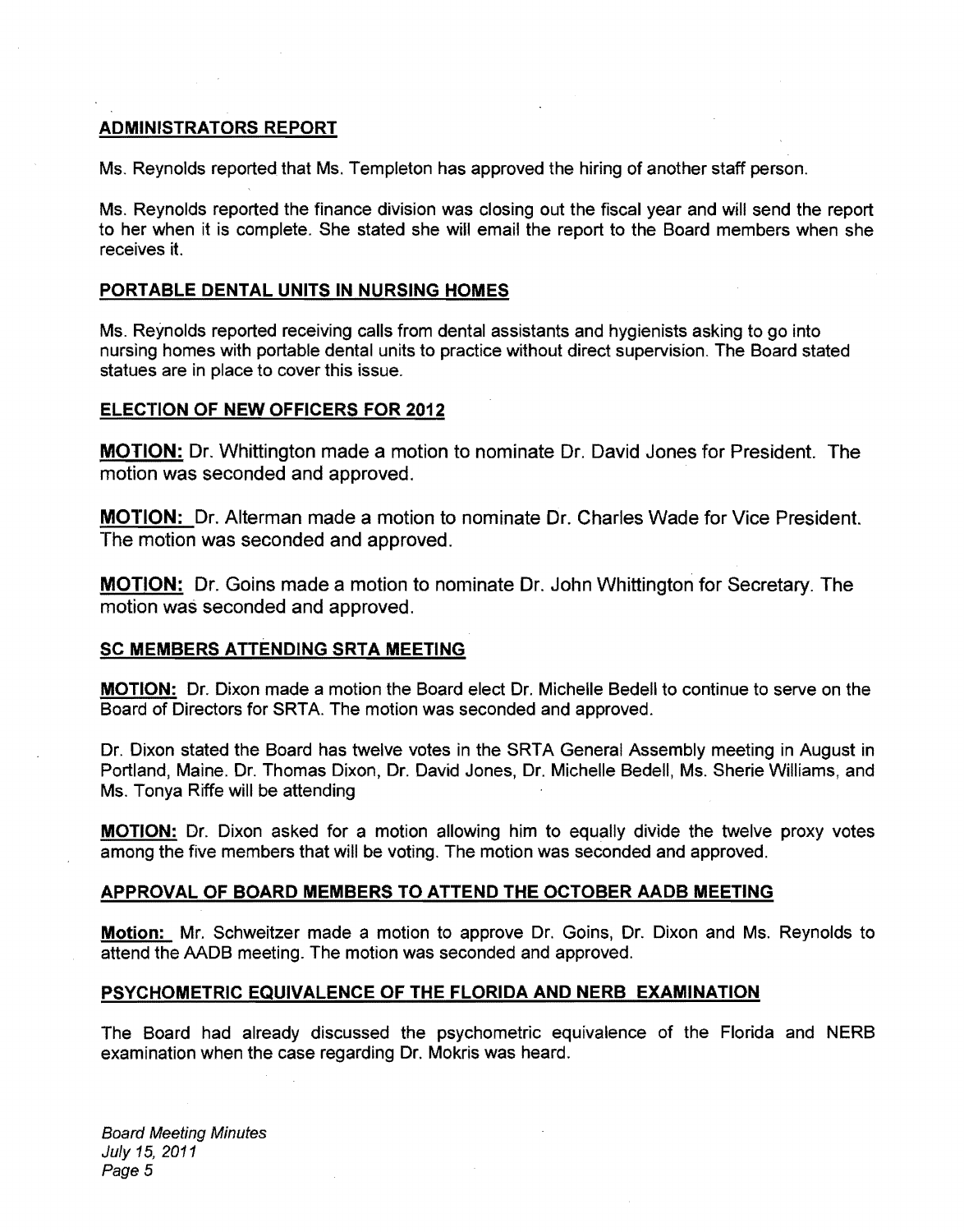## ADMINISTRATORS REPORT

Ms. Reynolds reported that Ms. Templeton has approved the hiring of another staff person.

Ms. Reynolds reported the finance division was closing out the fiscal year and will send the report to her when it is complete. She stated she will email the report to the Board members when she receives it.

## PORTABLE DENTAL UNITS IN NURSING HOMES

Ms. Reynolds reported receiving calls from dental assistants and hygienists asking to go into nursing homes with portable dental units to practice without direct supervision. The Board stated statues are in place to cover this issue.

## ELECTION OF NEW OFFICERS FOR 2012

MOTION: Dr. Whittington made a motion to nominate Dr. David Jones for President. The motion was seconded and approved.

MOTION: Dr. Alterman made a motion to nominate Dr. Charles Wade for Vice President. The motion was seconded and approved.

MOTION: Dr. Goins made a motion to nominate Dr. John Whittington for Secretary. The motion was seconded and approved.

## SC MEMBERS ATTENDING SRTA MEETING

MOTION: Dr. Dixon made a motion the Board elect Dr. Michelle Bedell to continue to serve on the Board of Directors for SRTA. The motion was seconded and approved.

Dr. Dixon stated the Board has twelve votes in the SRTA General Assembly meeting in August in Portland, Maine. Dr. Thomas Dixon, Dr. David Jones, Dr. Michelle Bedell, Ms. Sherie Williams, and Ms. Tonya Riffe will be attending

MOTION: Dr. Dixon asked for a motion allowing him to equally divide the twelve proxy votes among the five members that will be voting. The motion was seconded and approved.

## APPROVAL OF BOARD MEMBERS TO ATTEND THE OCTOBER AADB MEETING

Motion: Mr. Schweitzer made a motion to approve Dr. Goins, Dr. Dixon and Ms. Reynolds to attend the AADB meeting. The motion was seconded and approved.

## PSYCHOMETRIC EQUIVALENCE OF THE FLORIDA AND NERB EXAMINATION

The Board had already discussed the psychometric equivalence of the Florida and NERB examination when the case regarding Dr. Mokris was heard.